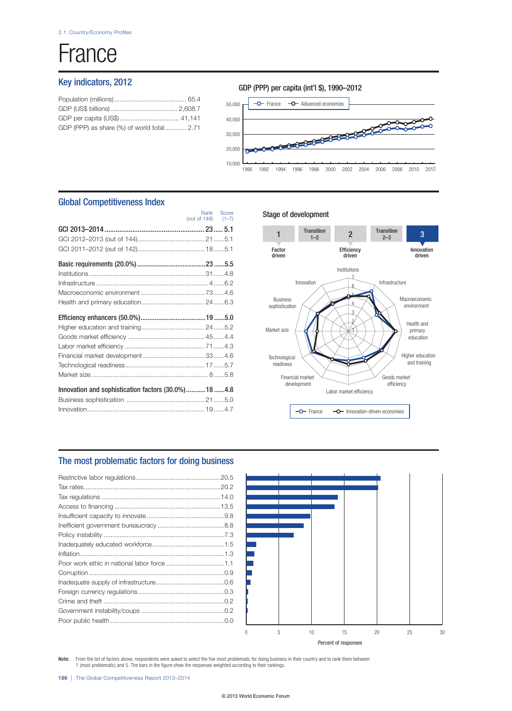# France

## Key indicators, 2012

| GDP (PPP) as share (%) of world total 2.71 |  |
|--------------------------------------------|--|
|                                            |  |



1990 1992 1996 1994 1998 2000 2002 2006 2004 2008 2010 2012

## Global Competitiveness Index

|                                                     | (out of 148) $(1-7)$ |  |
|-----------------------------------------------------|----------------------|--|
|                                                     |                      |  |
|                                                     |                      |  |
|                                                     |                      |  |
|                                                     |                      |  |
|                                                     |                      |  |
|                                                     |                      |  |
|                                                     |                      |  |
|                                                     |                      |  |
|                                                     |                      |  |
|                                                     |                      |  |
|                                                     |                      |  |
|                                                     |                      |  |
|                                                     |                      |  |
|                                                     |                      |  |
|                                                     |                      |  |
| Innovation and sophistication factors (30.0%)18 4.8 |                      |  |
|                                                     |                      |  |
|                                                     |                      |  |

### Stage of development

Rank Score



## The most problematic factors for doing business

| Poor work ethic in national labor force 1.1 |  |
|---------------------------------------------|--|
|                                             |  |
|                                             |  |
|                                             |  |
|                                             |  |
|                                             |  |
|                                             |  |
|                                             |  |



Note: From the list of factors above, respondents were asked to select the five most problematic for doing business in their country and to rank them between 1 (most problematic) and 5. The bars in the figure show the responses weighted according to their rankings.